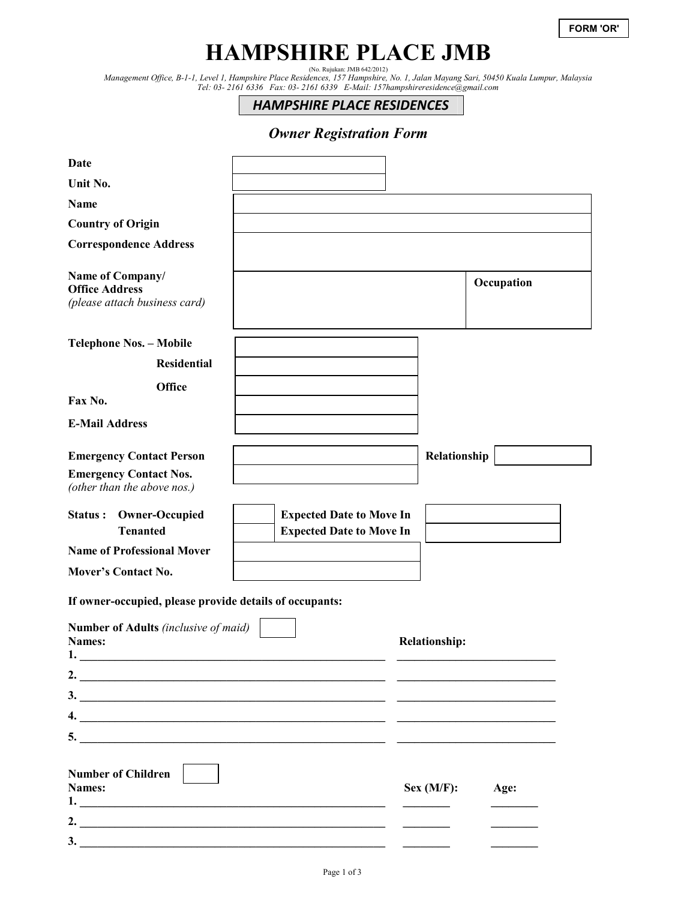# **HAMPSHIRE PLACE JMB**

(No. Rujukan: JMB 642/2012) *Management Office, B-1-1, Level 1, Hampshire Place Residences, 157 Hampshire, No. 1, Jalan Mayang Sari, 50450 Kuala Lumpur, Malaysia Tel: 03- 2161 6336 Fax: 03- 2161 6339 E-Mail: 157hampshireresidence@gmail.com* 

*HAMPSHIRE PLACE RESIDENCES*

# *Owner Registration Form*

| Date                                                                                                                                                                                                                                                                                                                                                                                                          |                                 |                      |            |  |
|---------------------------------------------------------------------------------------------------------------------------------------------------------------------------------------------------------------------------------------------------------------------------------------------------------------------------------------------------------------------------------------------------------------|---------------------------------|----------------------|------------|--|
| Unit No.                                                                                                                                                                                                                                                                                                                                                                                                      |                                 |                      |            |  |
| Name                                                                                                                                                                                                                                                                                                                                                                                                          |                                 |                      |            |  |
| <b>Country of Origin</b>                                                                                                                                                                                                                                                                                                                                                                                      |                                 |                      |            |  |
| <b>Correspondence Address</b>                                                                                                                                                                                                                                                                                                                                                                                 |                                 |                      |            |  |
| Name of Company/<br><b>Office Address</b><br>(please attach business card)                                                                                                                                                                                                                                                                                                                                    |                                 |                      | Occupation |  |
| <b>Telephone Nos. - Mobile</b>                                                                                                                                                                                                                                                                                                                                                                                |                                 |                      |            |  |
| <b>Residential</b>                                                                                                                                                                                                                                                                                                                                                                                            |                                 |                      |            |  |
| <b>Office</b><br>Fax No.                                                                                                                                                                                                                                                                                                                                                                                      |                                 |                      |            |  |
| <b>E-Mail Address</b>                                                                                                                                                                                                                                                                                                                                                                                         |                                 |                      |            |  |
| <b>Emergency Contact Person</b>                                                                                                                                                                                                                                                                                                                                                                               |                                 | Relationship         |            |  |
| <b>Emergency Contact Nos.</b><br>(other than the above nos.)                                                                                                                                                                                                                                                                                                                                                  |                                 |                      |            |  |
| <b>Owner-Occupied</b><br>Status:                                                                                                                                                                                                                                                                                                                                                                              | <b>Expected Date to Move In</b> |                      |            |  |
| <b>Tenanted</b>                                                                                                                                                                                                                                                                                                                                                                                               | <b>Expected Date to Move In</b> |                      |            |  |
|                                                                                                                                                                                                                                                                                                                                                                                                               |                                 |                      |            |  |
| <b>Name of Professional Mover</b>                                                                                                                                                                                                                                                                                                                                                                             |                                 |                      |            |  |
| <b>Mover's Contact No.</b>                                                                                                                                                                                                                                                                                                                                                                                    |                                 |                      |            |  |
| If owner-occupied, please provide details of occupants:                                                                                                                                                                                                                                                                                                                                                       |                                 |                      |            |  |
| <b>Number of Adults</b> (inclusive of maid)<br>Names:<br>1.                                                                                                                                                                                                                                                                                                                                                   |                                 | <b>Relationship:</b> |            |  |
|                                                                                                                                                                                                                                                                                                                                                                                                               |                                 |                      |            |  |
| 2. $\qquad \qquad$                                                                                                                                                                                                                                                                                                                                                                                            |                                 |                      |            |  |
| $\frac{3}{2}$                                                                                                                                                                                                                                                                                                                                                                                                 |                                 |                      |            |  |
|                                                                                                                                                                                                                                                                                                                                                                                                               |                                 |                      |            |  |
| $5.$ $\frac{1}{2}$ $\frac{1}{2}$ $\frac{1}{2}$ $\frac{1}{2}$ $\frac{1}{2}$ $\frac{1}{2}$ $\frac{1}{2}$ $\frac{1}{2}$ $\frac{1}{2}$ $\frac{1}{2}$ $\frac{1}{2}$ $\frac{1}{2}$ $\frac{1}{2}$ $\frac{1}{2}$ $\frac{1}{2}$ $\frac{1}{2}$ $\frac{1}{2}$ $\frac{1}{2}$ $\frac{1}{2}$ $\frac{1}{2}$ $\frac{1}{2}$ $\frac{1}{$<br><b>Number of Children</b><br>Names:<br>$\mathbf{1.}$<br>2. $\overline{\phantom{a}}$ |                                 | Sex (M/F):           | Age:       |  |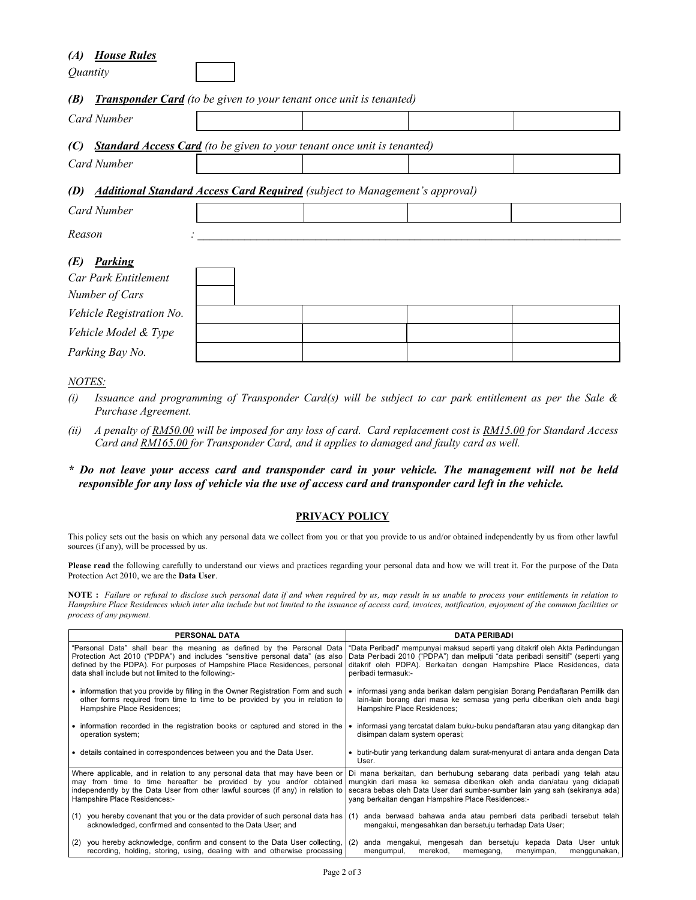### *(A) House Rules*

*Quantity* 

#### *(B) Transponder Card (to be given to your tenant once unit is tenanted)*

| Card Number                                                                               |  |  |  |  |  |
|-------------------------------------------------------------------------------------------|--|--|--|--|--|
| <b>Standard Access Card</b> (to be given to your tenant once unit is tenanted)<br>(C)     |  |  |  |  |  |
| Card Number                                                                               |  |  |  |  |  |
| <b>Additional Standard Access Card Required</b> (subject to Management's approval)<br>(D) |  |  |  |  |  |
| Card Number                                                                               |  |  |  |  |  |

*Reason : \_\_\_\_\_\_\_\_\_\_\_\_\_\_\_\_\_\_\_\_\_\_\_\_\_\_\_\_\_\_\_\_\_\_\_\_\_\_\_\_\_\_\_\_\_\_\_\_\_\_\_\_\_\_\_\_\_\_\_\_\_\_\_\_\_\_\_\_\_\_\_\_* 

# *(E) Parking*

| Car Park Entitlement     |  |  |  |
|--------------------------|--|--|--|
| Number of Cars           |  |  |  |
| Vehicle Registration No. |  |  |  |
| Vehicle Model & Type     |  |  |  |
| Parking Bay No.          |  |  |  |

# *NOTES:*

- *(i) Issuance and programming of Transponder Card(s) will be subject to car park entitlement as per the Sale & Purchase Agreement.*
- *(ii) A penalty of RM50.00 will be imposed for any loss of card. Card replacement cost is RM15.00 for Standard Access Card and RM165.00 for Transponder Card, and it applies to damaged and faulty card as well.*
- *\* Do not leave your access card and transponder card in your vehicle. The management will not be held responsible for any loss of vehicle via the use of access card and transponder card left in the vehicle.*

#### **PRIVACY POLICY**

This policy sets out the basis on which any personal data we collect from you or that you provide to us and/or obtained independently by us from other lawful sources (if any), will be processed by us.

Please read the following carefully to understand our views and practices regarding your personal data and how we will treat it. For the purpose of the Data Protection Act 2010, we are the **Data User**.

**NOTE :** *Failure or refusal to disclose such personal data if and when required by us, may result in us unable to process your entitlements in relation to Hampshire Place Residences which inter alia include but not limited to the issuance of access card, invoices, notification, enjoyment of the common facilities or process of any payment.* 

| <b>PERSONAL DATA</b>                                                                                                                                               | <b>DATA PERIBADI</b>                                                                                                                                                                                                                                                                                                                                                                                                                    |
|--------------------------------------------------------------------------------------------------------------------------------------------------------------------|-----------------------------------------------------------------------------------------------------------------------------------------------------------------------------------------------------------------------------------------------------------------------------------------------------------------------------------------------------------------------------------------------------------------------------------------|
| "Personal Data" shall bear the meaning as defined by the Personal Data                                                                                             | "Data Peribadi" mempunyai maksud seperti yang ditakrif oleh Akta Perlindungan                                                                                                                                                                                                                                                                                                                                                           |
| Protection Act 2010 ("PDPA") and includes "sensitive personal data" (as also                                                                                       | Data Peribadi 2010 ("PDPA") dan meliputi "data peribadi sensitif" (seperti yang                                                                                                                                                                                                                                                                                                                                                         |
| defined by the PDPA). For purposes of Hampshire Place Residences, personal                                                                                         | ditakrif oleh PDPA). Berkaitan dengan Hampshire Place Residences, data                                                                                                                                                                                                                                                                                                                                                                  |
| data shall include but not limited to the following:-                                                                                                              | peribadi termasuk:-                                                                                                                                                                                                                                                                                                                                                                                                                     |
| • information that you provide by filling in the Owner Registration Form and such                                                                                  | informasi yang anda berikan dalam pengisian Borang Pendaftaran Pemilik dan                                                                                                                                                                                                                                                                                                                                                              |
| other forms required from time to time to be provided by you in relation to                                                                                        | lain-lain borang dari masa ke semasa yang perlu diberikan oleh anda bagi                                                                                                                                                                                                                                                                                                                                                                |
| Hampshire Place Residences;                                                                                                                                        | Hampshire Place Residences;                                                                                                                                                                                                                                                                                                                                                                                                             |
| • information recorded in the registration books or captured and stored in the                                                                                     | informasi yang tercatat dalam buku-buku pendaftaran atau yang ditangkap dan                                                                                                                                                                                                                                                                                                                                                             |
| operation system;                                                                                                                                                  | disimpan dalam system operasi;                                                                                                                                                                                                                                                                                                                                                                                                          |
| • details contained in correspondences between you and the Data User.                                                                                              | • butir-butir yang terkandung dalam surat-menyurat di antara anda dengan Data<br>User.                                                                                                                                                                                                                                                                                                                                                  |
| independently by the Data User from other lawful sources (if any) in relation to<br>Hampshire Place Residences:-                                                   | Where applicable, and in relation to any personal data that may have been or Di mana berkaitan, dan berhubung sebarang data peribadi yang telah atau<br>may from time to time hereafter be provided by you and/or obtained mungkin dari masa ke semasa diberikan oleh anda dan/atau yang didapati<br>secara bebas oleh Data User dari sumber-sumber lain yang sah (sekiranya ada)<br>yang berkaitan dengan Hampshire Place Residences:- |
| (1) you hereby covenant that you or the data provider of such personal data has $(1)$                                                                              | anda berwaad bahawa anda atau pemberi data peribadi tersebut telah                                                                                                                                                                                                                                                                                                                                                                      |
| acknowledged, confirmed and consented to the Data User; and                                                                                                        | mengakui, mengesahkan dan bersetuju terhadap Data User;                                                                                                                                                                                                                                                                                                                                                                                 |
| you hereby acknowledge, confirm and consent to the Data User collecting, $(2)$<br>(2)<br>recording, holding, storing, using, dealing with and otherwise processing | anda mengakui, mengesah dan bersetuju kepada Data User untuk<br>mengumpul,<br>merekod,<br>memegang,<br>menyimpan,<br>menggunakan,                                                                                                                                                                                                                                                                                                       |